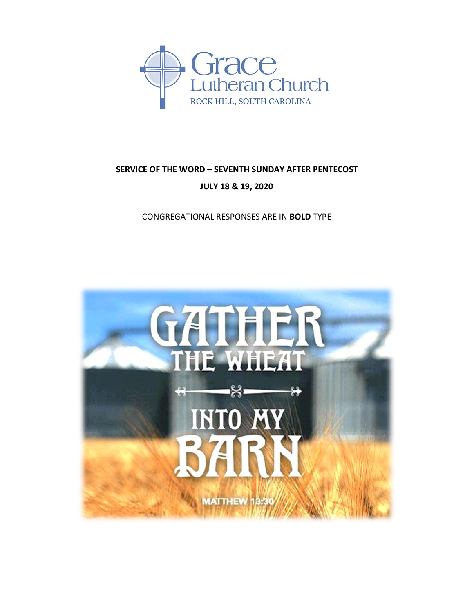

# **SERVICE OF THE WORD – SEVENTH SUNDAY AFTER PENTECOST JULY 18 & 19, 2020**

CONGREGATIONAL RESPONSES ARE IN **BOLD** TYPE

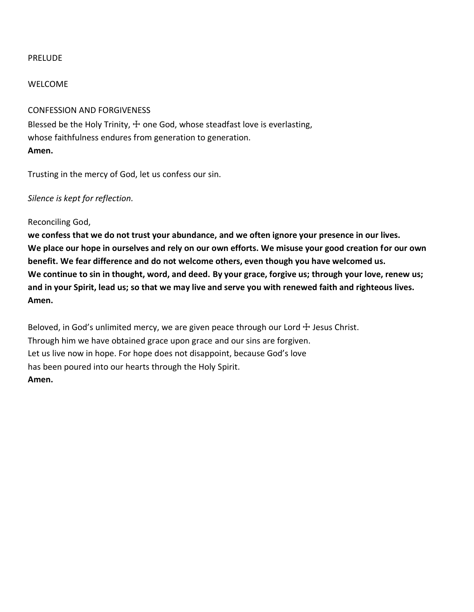### PRELUDE

### WELCOME

# CONFESSION AND FORGIVENESS

Blessed be the Holy Trinity,  $+$  one God, whose steadfast love is everlasting, whose faithfulness endures from generation to generation. **Amen.**

Trusting in the mercy of God, let us confess our sin.

# *Silence is kept for reflection.*

Reconciling God,

**we confess that we do not trust your abundance, and we often ignore your presence in our lives. We place our hope in ourselves and rely on our own efforts. We misuse your good creation for our own benefit. We fear difference and do not welcome others, even though you have welcomed us. We continue to sin in thought, word, and deed. By your grace, forgive us; through your love, renew us; and in your Spirit, lead us; so that we may live and serve you with renewed faith and righteous lives. Amen.**

Beloved, in God's unlimited mercy, we are given peace through our Lord  $\pm$  Jesus Christ. Through him we have obtained grace upon grace and our sins are forgiven. Let us live now in hope. For hope does not disappoint, because God's love has been poured into our hearts through the Holy Spirit. **Amen.**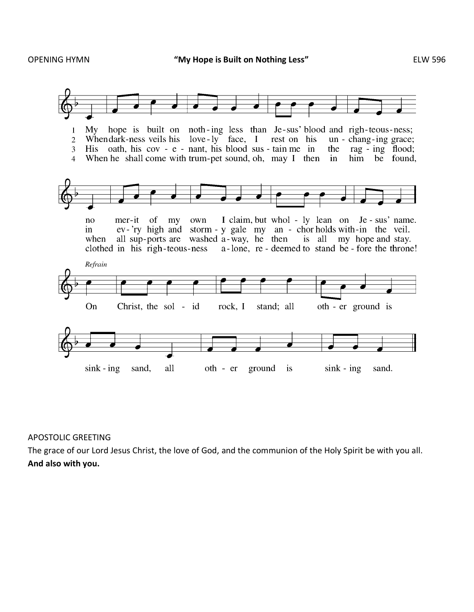

#### APOSTOLIC GREETING

The grace of our Lord Jesus Christ, the love of God, and the communion of the Holy Spirit be with you all. **And also with you.**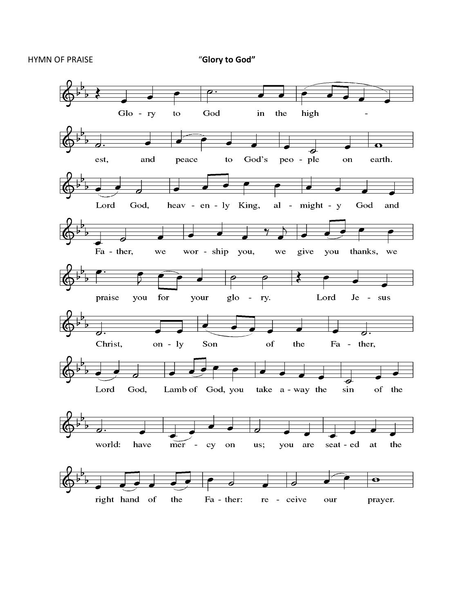## HYMN OF PRAISE "**Glory to God"**

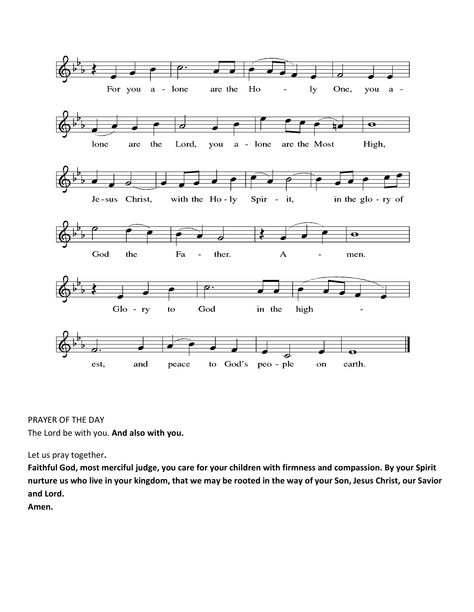

PRAYER OF THE DAY The Lord be with you. **And also with you.**

Let us pray together**.** 

**Faithful God, most merciful judge, you care for your children with firmness and compassion. By your Spirit nurture us who live in your kingdom, that we may be rooted in the way of your Son, Jesus Christ, our Savior and Lord.**

**Amen.**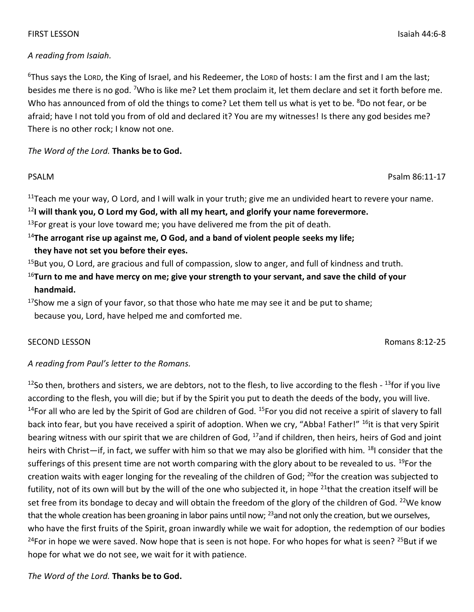# FIRST LESSON Isaiah 44:6-8

# *A reading from Isaiah.*

 $6$ Thus says the LORD, the King of Israel, and his Redeemer, the LORD of hosts: I am the first and I am the last; besides me there is no god. 7Who is like me? Let them proclaim it, let them declare and set it forth before me. Who has announced from of old the things to come? Let them tell us what is yet to be. <sup>8</sup>Do not fear, or be afraid; have I not told you from of old and declared it? You are my witnesses! Is there any god besides me? There is no other rock; I know not one.

*The Word of the Lord.* **Thanks be to God.**

<sup>11</sup>Teach me your way, O Lord, and I will walk in your truth; give me an undivided heart to revere your name. <sup>12</sup>**I will thank you, O Lord my God, with all my heart, and glorify your name forevermore.**

 $13$ For great is your love toward me; you have delivered me from the pit of death.

<sup>14</sup>**The arrogant rise up against me, O God, and a band of violent people seeks my life;**

**they have not set you before their eyes.**

 $15$ But you, O Lord, are gracious and full of compassion, slow to anger, and full of kindness and truth.

<sup>16</sup>**Turn to me and have mercy on me; give your strength to your servant, and save the child of your handmaid.**

 $17$ Show me a sign of your favor, so that those who hate me may see it and be put to shame; because you, Lord, have helped me and comforted me.

# SECOND LESSON Romans 8:12-25

# *A reading from Paul's letter to the Romans.*

 $12$ So then, brothers and sisters, we are debtors, not to the flesh, to live according to the flesh -  $13$ for if you live according to the flesh, you will die; but if by the Spirit you put to death the deeds of the body, you will live.  $14$ For all who are led by the Spirit of God are children of God.  $15$ For you did not receive a spirit of slavery to fall back into fear, but you have received a spirit of adoption. When we cry, "Abba! Father!" <sup>16</sup>it is that very Spirit bearing witness with our spirit that we are children of God, <sup>17</sup>and if children, then heirs, heirs of God and joint heirs with Christ—if, in fact, we suffer with him so that we may also be glorified with him. <sup>18</sup>I consider that the sufferings of this present time are not worth comparing with the glory about to be revealed to us. <sup>19</sup>For the creation waits with eager longing for the revealing of the children of God; <sup>20</sup>for the creation was subjected to futility, not of its own will but by the will of the one who subjected it, in hope  $21$ that the creation itself will be set free from its bondage to decay and will obtain the freedom of the glory of the children of God. <sup>22</sup>We know that the whole creation has been groaning in labor pains until now; <sup>23</sup>and not only the creation, but we ourselves, who have the first fruits of the Spirit, groan inwardly while we wait for adoption, the redemption of our bodies <sup>24</sup>For in hope we were saved. Now hope that is seen is not hope. For who hopes for what is seen? <sup>25</sup>But if we hope for what we do not see, we wait for it with patience.

*The Word of the Lord.* **Thanks be to God.**

PSALM Psalm 86:11-17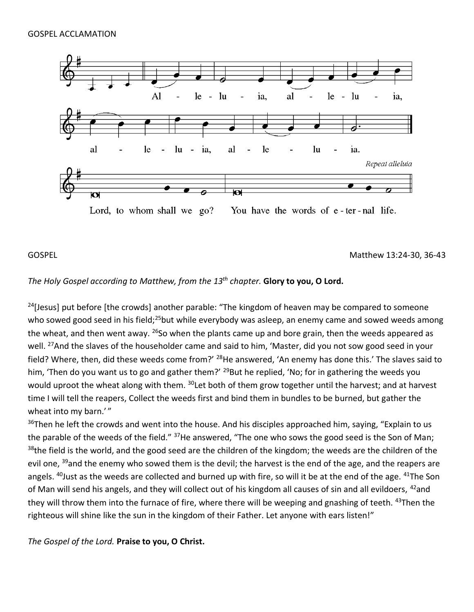

### GOSPEL Matthew 13:24-30, 36-43

# *The Holy Gospel according to Matthew, from the 13 th chapter.* **Glory to you, O Lord.**

<sup>24</sup>[Jesus] put before [the crowds] another parable: "The kingdom of heaven may be compared to someone who sowed good seed in his field;<sup>25</sup>but while everybody was asleep, an enemy came and sowed weeds among the wheat, and then went away.  $^{26}$ So when the plants came up and bore grain, then the weeds appeared as well. <sup>27</sup>And the slaves of the householder came and said to him, 'Master, did you not sow good seed in your field? Where, then, did these weeds come from?' <sup>28</sup>He answered, 'An enemy has done this.' The slaves said to him, 'Then do you want us to go and gather them?' <sup>29</sup>But he replied, 'No; for in gathering the weeds you would uproot the wheat along with them. <sup>30</sup>Let both of them grow together until the harvest; and at harvest time I will tell the reapers, Collect the weeds first and bind them in bundles to be burned, but gather the wheat into my barn.'"

<sup>36</sup>Then he left the crowds and went into the house. And his disciples approached him, saying, "Explain to us the parable of the weeds of the field." <sup>37</sup>He answered, "The one who sows the good seed is the Son of Man; <sup>38</sup>the field is the world, and the good seed are the children of the kingdom; the weeds are the children of the evil one, <sup>39</sup>and the enemy who sowed them is the devil; the harvest is the end of the age, and the reapers are angels. <sup>40</sup>Just as the weeds are collected and burned up with fire, so will it be at the end of the age. <sup>41</sup>The Son of Man will send his angels, and they will collect out of his kingdom all causes of sin and all evildoers, <sup>42</sup>and they will throw them into the furnace of fire, where there will be weeping and gnashing of teeth. <sup>43</sup>Then the righteous will shine like the sun in the kingdom of their Father. Let anyone with ears listen!"

*The Gospel of the Lord.* **Praise to you, O Christ.**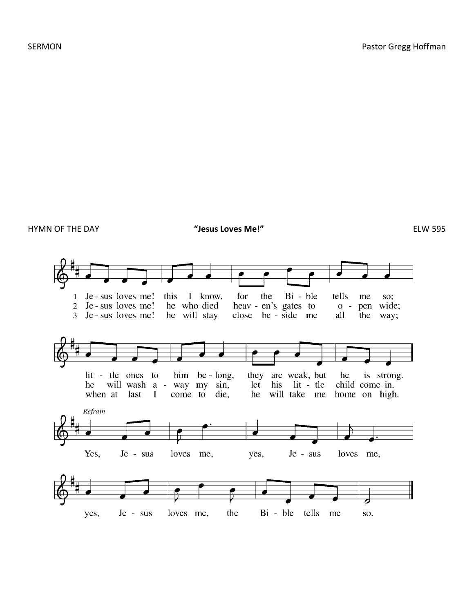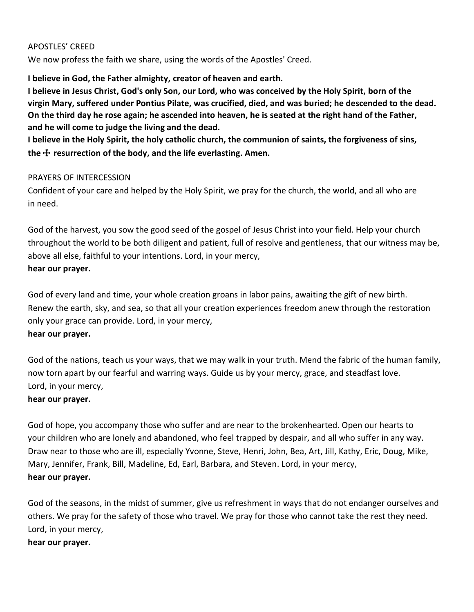# APOSTLES' CREED

We now profess the faith we share, using the words of the Apostles' Creed.

**I believe in God, the Father almighty, creator of heaven and earth.**

**I believe in Jesus Christ, God's only Son, our Lord, who was conceived by the Holy Spirit, born of the virgin Mary, suffered under Pontius Pilate, was crucified, died, and was buried; he descended to the dead. On the third day he rose again; he ascended into heaven, he is seated at the right hand of the Father, and he will come to judge the living and the dead.**

**I believe in the Holy Spirit, the holy catholic church, the communion of saints, the forgiveness of sins, the** ☩ **resurrection of the body, and the life everlasting. Amen.**

# PRAYERS OF INTERCESSION

Confident of your care and helped by the Holy Spirit, we pray for the church, the world, and all who are in need.

God of the harvest, you sow the good seed of the gospel of Jesus Christ into your field. Help your church throughout the world to be both diligent and patient, full of resolve and gentleness, that our witness may be, above all else, faithful to your intentions. Lord, in your mercy, **hear our prayer.**

God of every land and time, your whole creation groans in labor pains, awaiting the gift of new birth. Renew the earth, sky, and sea, so that all your creation experiences freedom anew through the restoration only your grace can provide. Lord, in your mercy, **hear our prayer.**

God of the nations, teach us your ways, that we may walk in your truth. Mend the fabric of the human family, now torn apart by our fearful and warring ways. Guide us by your mercy, grace, and steadfast love. Lord, in your mercy,

# **hear our prayer.**

God of hope, you accompany those who suffer and are near to the brokenhearted. Open our hearts to your children who are lonely and abandoned, who feel trapped by despair, and all who suffer in any way. Draw near to those who are ill, especially Yvonne, Steve, Henri, John, Bea, Art, Jill, Kathy, Eric, Doug, Mike, Mary, Jennifer, Frank, Bill, Madeline, Ed, Earl, Barbara, and Steven. Lord, in your mercy, **hear our prayer.**

God of the seasons, in the midst of summer, give us refreshment in ways that do not endanger ourselves and others. We pray for the safety of those who travel. We pray for those who cannot take the rest they need. Lord, in your mercy,

# **hear our prayer.**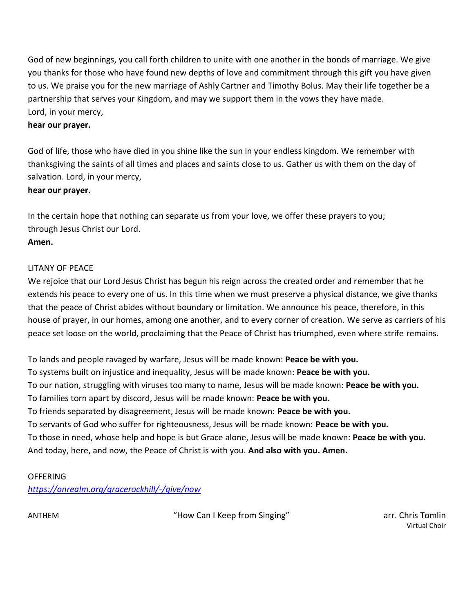God of new beginnings, you call forth children to unite with one another in the bonds of marriage. We give you thanks for those who have found new depths of love and commitment through this gift you have given to us. We praise you for the new marriage of Ashly Cartner and Timothy Bolus. May their life together be a partnership that serves your Kingdom, and may we support them in the vows they have made. Lord, in your mercy,

# **hear our prayer.**

God of life, those who have died in you shine like the sun in your endless kingdom. We remember with thanksgiving the saints of all times and places and saints close to us. Gather us with them on the day of salvation. Lord, in your mercy,

### **hear our prayer.**

In the certain hope that nothing can separate us from your love, we offer these prayers to you; through Jesus Christ our Lord.

# **Amen.**

# LITANY OF PEACE

We rejoice that our Lord Jesus Christ has begun his reign across the created order and remember that he extends his peace to every one of us. In this time when we must preserve a physical distance, we give thanks that the peace of Christ abides without boundary or limitation. We announce his peace, therefore, in this house of prayer, in our homes, among one another, and to every corner of creation. We serve as carriers of his peace set loose on the world, proclaiming that the Peace of Christ has triumphed, even where strife remains.

To lands and people ravaged by warfare, Jesus will be made known: **Peace be with you.** To systems built on injustice and inequality, Jesus will be made known: **Peace be with you.** To our nation, struggling with viruses too many to name, Jesus will be made known: **Peace be with you.** To families torn apart by discord, Jesus will be made known: **Peace be with you.** To friends separated by disagreement, Jesus will be made known: **Peace be with you.** To servants of God who suffer for righteousness, Jesus will be made known: **Peace be with you.** To those in need, whose help and hope is but Grace alone, Jesus will be made known: **Peace be with you.** And today, here, and now, the Peace of Christ is with you. **And also with you. Amen.**

# **OFFERING**

*<https://onrealm.org/gracerockhill/-/give/now>*

ANTHEM THOM Can I Keep from Singing" arr. Chris Tomlin and Thomas Tomlin

Virtual Choir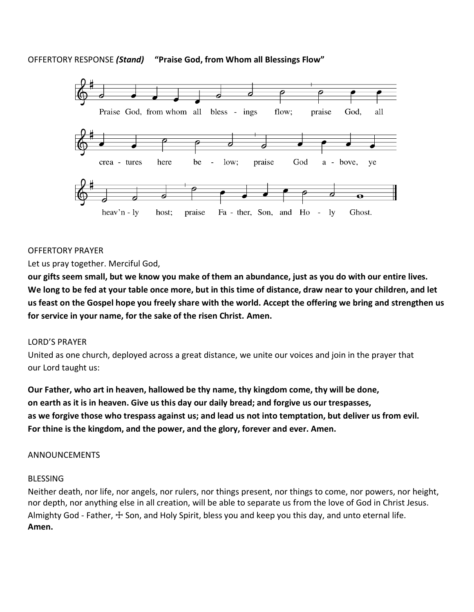# OFFERTORY RESPONSE *(Stand)* **"Praise God, from Whom all Blessings Flow"**



# OFFERTORY PRAYER

Let us pray together. Merciful God,

**our gifts seem small, but we know you make of them an abundance, just as you do with our entire lives. We long to be fed at your table once more, but in this time of distance, draw near to your children, and let us feast on the Gospel hope you freely share with the world. Accept the offering we bring and strengthen us for service in your name, for the sake of the risen Christ. Amen.**

#### LORD'S PRAYER

United as one church, deployed across a great distance, we unite our voices and join in the prayer that our Lord taught us:

**Our Father, who art in heaven, hallowed be thy name, thy kingdom come, thy will be done, on earth as it is in heaven. Give us this day our daily bread; and forgive us our trespasses, as we forgive those who trespass against us; and lead us not into temptation, but deliver us from evil. For thine is the kingdom, and the power, and the glory, forever and ever. Amen.**

#### ANNOUNCEMENTS

#### BLESSING

Neither death, nor life, nor angels, nor rulers, nor things present, nor things to come, nor powers, nor height, nor depth, nor anything else in all creation, will be able to separate us from the love of God in Christ Jesus. Almighty God - Father,  $\pm$  Son, and Holy Spirit, bless you and keep you this day, and unto eternal life. **Amen.**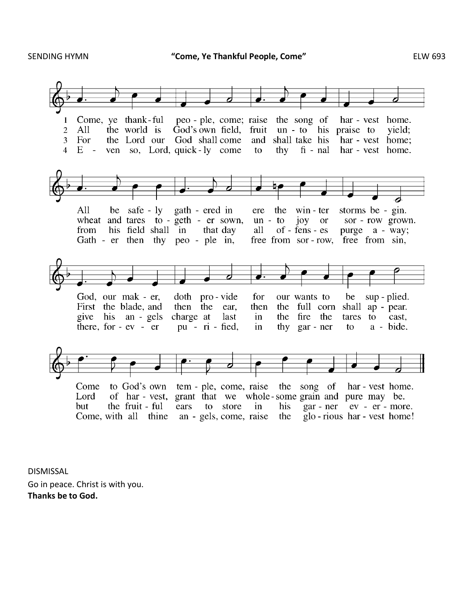

DISMISSAL Go in peace. Christ is with you. **Thanks be to God.**